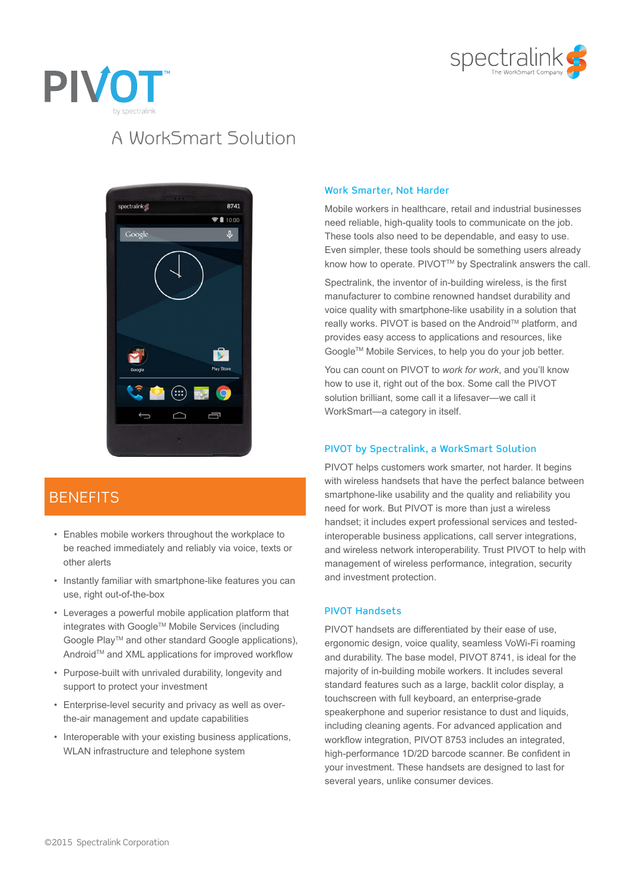



# A WorkSmart Solution



### **BENEFITS**

- Enables mobile workers throughout the workplace to be reached immediately and reliably via voice, texts or other alerts
- Instantly familiar with smartphone-like features you can use, right out-of-the-box
- Leverages a powerful mobile application platform that integrates with Google™ Mobile Services (including Google Play™ and other standard Google applications), Android™ and XML applications for improved workflow
- Purpose-built with unrivaled durability, longevity and support to protect your investment
- Enterprise-level security and privacy as well as overthe-air management and update capabilities
- Interoperable with your existing business applications, WLAN infrastructure and telephone system

#### Work Smarter, Not Harder

Mobile workers in healthcare, retail and industrial businesses need reliable, high-quality tools to communicate on the job. These tools also need to be dependable, and easy to use. Even simpler, these tools should be something users already know how to operate. PIVOT™ by Spectralink answers the call.

Spectralink, the inventor of in-building wireless, is the first manufacturer to combine renowned handset durability and voice quality with smartphone-like usability in a solution that really works. PIVOT is based on the Android™ platform, and provides easy access to applications and resources, like Google™ Mobile Services, to help you do your job better.

You can count on PIVOT to *work for work*, and you'll know how to use it, right out of the box. Some call the PIVOT solution brilliant, some call it a lifesaver—we call it WorkSmart—a category in itself.

#### PIVOT by Spectralink, a WorkSmart Solution

PIVOT helps customers work smarter, not harder. It begins with wireless handsets that have the perfect balance between smartphone-like usability and the quality and reliability you need for work. But PIVOT is more than just a wireless handset; it includes expert professional services and testedinteroperable business applications, call server integrations, and wireless network interoperability. Trust PIVOT to help with management of wireless performance, integration, security and investment protection.

#### PIVOT Handsets

PIVOT handsets are differentiated by their ease of use, ergonomic design, voice quality, seamless VoWi-Fi roaming and durability. The base model, PIVOT 8741, is ideal for the majority of in-building mobile workers. It includes several standard features such as a large, backlit color display, a touchscreen with full keyboard, an enterprise-grade speakerphone and superior resistance to dust and liquids, including cleaning agents. For advanced application and workflow integration, PIVOT 8753 includes an integrated, high-performance 1D/2D barcode scanner. Be confident in your investment. These handsets are designed to last for several years, unlike consumer devices.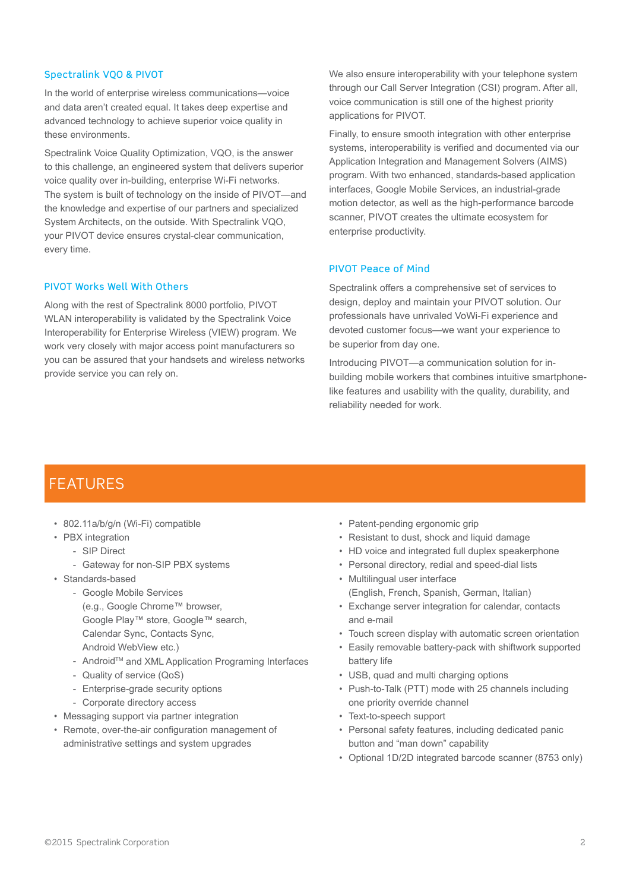#### Spectralink VQO & PIVOT

In the world of enterprise wireless communications—voice and data aren't created equal. It takes deep expertise and advanced technology to achieve superior voice quality in these environments.

Spectralink Voice Quality Optimization, VQO, is the answer to this challenge, an engineered system that delivers superior voice quality over in-building, enterprise Wi-Fi networks. The system is built of technology on the inside of PIVOT—and the knowledge and expertise of our partners and specialized System Architects, on the outside. With Spectralink VQO, your PIVOT device ensures crystal-clear communication, every time.

#### PIVOT Works Well With Others

Along with the rest of Spectralink 8000 portfolio, PIVOT WLAN interoperability is validated by the Spectralink Voice Interoperability for Enterprise Wireless (VIEW) program. We work very closely with major access point manufacturers so you can be assured that your handsets and wireless networks provide service you can rely on.

We also ensure interoperability with your telephone system through our Call Server Integration (CSI) program. After all, voice communication is still one of the highest priority applications for PIVOT.

Finally, to ensure smooth integration with other enterprise systems, interoperability is verified and documented via our Application Integration and Management Solvers (AIMS) program. With two enhanced, standards-based application interfaces, Google Mobile Services, an industrial-grade motion detector, as well as the high-performance barcode scanner, PIVOT creates the ultimate ecosystem for enterprise productivity.

#### PIVOT Peace of Mind

Spectralink offers a comprehensive set of services to design, deploy and maintain your PIVOT solution. Our professionals have unrivaled VoWi-Fi experience and devoted customer focus—we want your experience to be superior from day one.

Introducing PIVOT—a communication solution for inbuilding mobile workers that combines intuitive smartphonelike features and usability with the quality, durability, and reliability needed for work.

### FEATURES

- 802.11a/b/g/n (Wi-Fi) compatible
- PBX integration
	- SIP Direct
		- Gateway for non-SIP PBX systems
- Standards-based
	- Google Mobile Services (e.g., Google Chrome™ browser, Google Play™ store, Google™ search, Calendar Sync, Contacts Sync, Android WebView etc.)
	- AndroidTM and XML Application Programing Interfaces
	- Quality of service (QoS)
	- Enterprise-grade security options
	- Corporate directory access
- Messaging support via partner integration
- Remote, over-the-air configuration management of administrative settings and system upgrades
- Patent-pending ergonomic grip
- Resistant to dust, shock and liquid damage
- HD voice and integrated full duplex speakerphone
- Personal directory, redial and speed-dial lists
- Multilingual user interface (English, French, Spanish, German, Italian)
- Exchange server integration for calendar, contacts and e-mail
- Touch screen display with automatic screen orientation
- Easily removable battery-pack with shiftwork supported battery life
- USB, quad and multi charging options
- Push-to-Talk (PTT) mode with 25 channels including one priority override channel
- Text-to-speech support
- Personal safety features, including dedicated panic button and "man down" capability
- Optional 1D/2D integrated barcode scanner (8753 only)